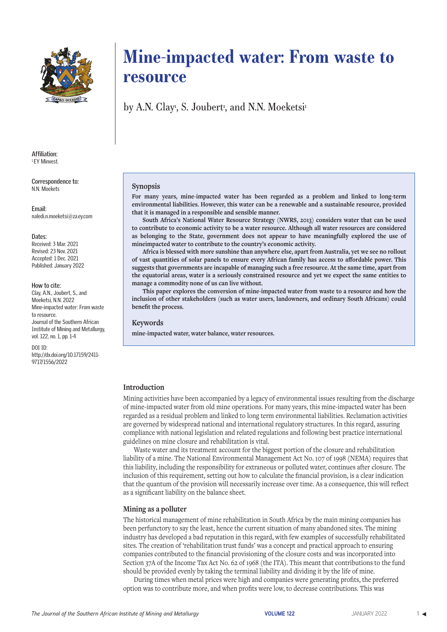

**Affiliation:** 1 EY Minvest.

**Correspondence to:** N.N. Moekets

**Email:** naledi.n.moeketsi@za.ey.com

#### **Dates:**

Received: 3 Mar. 2021 Revised: 23 Nov. 2021 Accepted: 1 Dec. 2021 Published: January 2022

#### **How to cite:**

Clay, A.N., Joubert, S., and Moeketsi, N.N. 2022 Mine-impacted water: From waste to resource. Journal of the Southern African Institute of Mining and Metallurgy, vol. 122, no. 1, pp. 1-4

DOI ID: http://dx.doi.org/10.17159/2411- 9717/1556/2022

# **Mine-impacted water: From waste to resource**

by A.N. Clay<sup>,</sup>, S. Joubert<sup>,</sup>, and N.N. Moeketsi<sup>,</sup>

## **Synopsis**

**For many years, mine-impacted water has been regarded as a problem and linked to long-term environmental liabilities. However, this water can be a renewable and a sustainable resource, provided that it is managed in a responsible and sensible manner.** 

**South Africa's National Water Resource Strategy (NWRS, 2013) considers water that can be used to contribute to economic activity to be a water resource. Although all water resources are considered as belonging to the State, government does not appear to have meaningfully explored the use of mineimpacted water to contribute to the country's economic activity.** 

**Africa is blessed with more sunshine than anywhere else, apart from Australia, yet we see no rollout of vast quantities of solar panels to ensure every African family has access to affordable power. This suggests that governments are incapable of managing such a free resource. At the same time, apart from the equatorial areas, water is a seriously constrained resource and yet we expect the same entities to manage a commodity none of us can live without.**

**This paper explores the conversion of mine-impacted water from waste to a resource and how the inclusion of other stakeholders (such as water users, landowners, and ordinary South Africans) could benefit the process.**

## **Keywords**

**mine-impacted water, water balance, water resources.**

## **Introduction**

Mining activities have been accompanied by a legacy of environmental issues resulting from the discharge of mine-impacted water from old mine operations. For many years, this mine-impacted water has been regarded as a residual problem and linked to long term environmental liabilities. Reclamation activities are governed by widespread national and international regulatory structures. In this regard, assuring compliance with national legislation and related regulations and following best practice international guidelines on mine closure and rehabilitation is vital.

Waste water and its treatment account for the biggest portion of the closure and rehabilitation liability of a mine. The National Environmental Management Act No. 107 of 1998 (NEMA) requires that this liability, including the responsibility for extraneous or polluted water, continues after closure. The inclusion of this requirement, setting out how to calculate the financial provision, is a clear indication that the quantum of the provision will necessarily increase over time. As a consequence, this will reflect as a significant liability on the balance sheet.

## **Mining as a polluter**

The historical management of mine rehabilitation in South Africa by the main mining companies has been perfunctory to say the least, hence the current situation of many abandoned sites. The mining industry has developed a bad reputation in this regard, with few examples of successfully rehabilitated sites. The creation of 'rehabilitation trust funds' was a concept and practical approach to ensuring companies contributed to the financial provisioning of the closure costs and was incorporated into Section 37A of the Income Tax Act No. 62 of 1968 (the ITA). This meant that contributions to the fund should be provided evenly by taking the terminal liability and dividing it by the life of mine.

During times when metal prices were high and companies were generating profits, the preferred option was to contribute more, and when profits were low, to decrease contributions. This was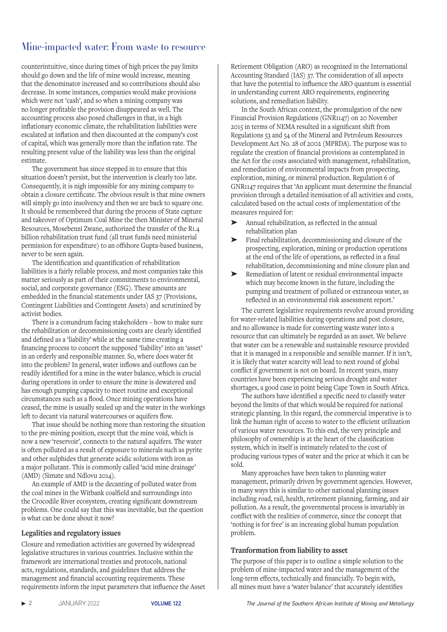# Mine-impacted water: From waste to resource

counterintuitive, since during times of high prices the pay limits should go down and the life of mine would increase, meaning that the denominator increased and so contributions should also decrease. In some instances, companies would make provisions which were not 'cash', and so when a mining company was no longer profitable the provision disappeared as well. The accounting process also posed challenges in that, in a high inflationary economic climate, the rehabilitation liabilities were escalated at inflation and then discounted at the company's cost of capital, which was generally more than the inflation rate. The resulting present value of the liability was less than the original estimate.

The government has since stepped in to ensure that this situation doesn't persist, but the intervention is clearly too late. Consequently, it is nigh impossible for any mining company to obtain a closure certificate. The obvious result is that mine owners will simply go into insolvency and then we are back to square one. It should be remembered that during the process of State capture and takeover of Optimum Coal Mine the then Minister of Mineral Resources, Mosebenzi Zwane, authorized the transfer of the R1.4 billion rehabilitation trust fund (all trust funds need ministerial permission for expenditure) to an offshore Gupta-based business, never to be seen again.

The identification and quantification of rehabilitation liabilities is a fairly reliable process, and most companies take this matter seriously as part of their commitments to environmental, social, and corporate governance (ESG). These amounts are embedded in the financial statements under IAS 37 (Provisions, Contingent Liabilities and Contingent Assets) and scrutinized by activist bodies.

There is a conundrum facing stakeholders – how to make sure the rehabilitation or decommissioning costs are clearly identified and defined as a 'liability' while at the same time creating a financing process to concert the supposed 'liability' into an 'asset' in an orderly and responsible manner. So, where does water fit into the problem? In general, water inflows and outflows can be readily identified for a mine in the water balance, which is crucial during operations in order to ensure the mine is dewatered and has enough pumping capacity to meet routine and exceptional circumstances such as a flood. Once mining operations have ceased, the mine is usually sealed up and the water in the workings left to decant via natural watercourses or aquifers flow.

That issue should be nothing more than restoring the situation to the pre-mining position, except that the mine void, which is now a new 'reservoir', connects to the natural aquifers. The water is often polluted as a result of exposure to minerals such as pyrite and other sulphides that generate acidic solutions with iron as a major pollutant. This is commonly called 'acid mine drainage' (AMD) (Simate and Ndlovu 2014).

An example of AMD is the decanting of polluted water from the coal mines in the Witbank coalfield and surroundings into the Crocodile River ecosystem, creating significant downstream problems. One could say that this was inevitable, but the question is what can be done about it now?

# **Legalities and regulatory issues**

Closure and remediation activities are governed by widespread legislative structures in various countries. Inclusive within the framework are international treaties and protocols, national acts, regulations, standards, and guidelines that address the management and financial accounting requirements. These requirements inform the input parameters that influence the Asset Retirement Obligation (ARO) as recognized in the International Accounting Standard (IAS) 37. The consideration of all aspects that have the potential to influence the ARO quantum is essential in understanding current ARO requirements, engineering solutions, and remediation liability.

In the South African context, the promulgation of the new Financial Provision Regulations (GNR1147) on 20 November 2015 in terms of NEMA resulted in a significant shift from Regulations 53 and 54 of the Mineral and Petroleum Resources Development Act No. 28 of 2002 (MPRDA). The purpose was to regulate the creation of financial provisions as contemplated in the Act for the costs associated with management, rehabilitation, and remediation of environmental impacts from prospecting, exploration, mining, or mineral production. Regulation 6 of GNR1147 requires that 'An applicant must determine the financial provision through a detailed itemisation of all activities and costs, calculated based on the actual costs of implementation of the measures required for:

- ➤ Annual rehabilitation, as reflected in the annual rehabilitation plan
- Final rehabilitation, decommissioning and closure of the prospecting, exploration, mining or production operations at the end of the life of operations, as reflected in a final rehabilitation, decommissioning and mine closure plan and
- ➤ Remediation of latent or residual environmental impacts which may become known in the future, including the pumping and treatment of polluted or extraneous water, as reflected in an environmental risk assessment report.'

The current legislative requirements revolve around providing for water-related liabilities during operations and post closure, and no allowance is made for converting waste water into a resource that can ultimately be regarded as an asset. We believe that water can be a renewable and sustainable resource provided that it is managed in a responsible and sensible manner. If it isn't, it is likely that water scarcity will lead to next round of global conflict if government is not on board. In recent years, many countries have been experiencing serious drought and water shortages, a good case in point being Cape Town in South Africa.

The authors have identified a specific need to classify water beyond the limits of that which would be required for national strategic planning. In this regard, the commercial imperative is to link the human right of access to water to the efficient utilization of various water resources. To this end, the very principle and philosophy of ownership is at the heart of the classification system, which in itself is intimately related to the cost of producing various types of water and the price at which it can be sold.

Many approaches have been taken to planning water management, primarily driven by government agencies. However, in many ways this is similar to other national planning issues including road, rail, health, retirement planning, farming, and air pollution. As a result, the governmental process is invariably in conflict with the realities of commerce, since the concept that 'nothing is for free' is an increasing global human population problem.

# **Tranformation from liability to asset**

The purpose of this paper is to outline a simple solution to the problem of mine-impacted water and the management of the long-term effects, technically and financially. To begin with, all mines must have a 'water balance' that accurately identifies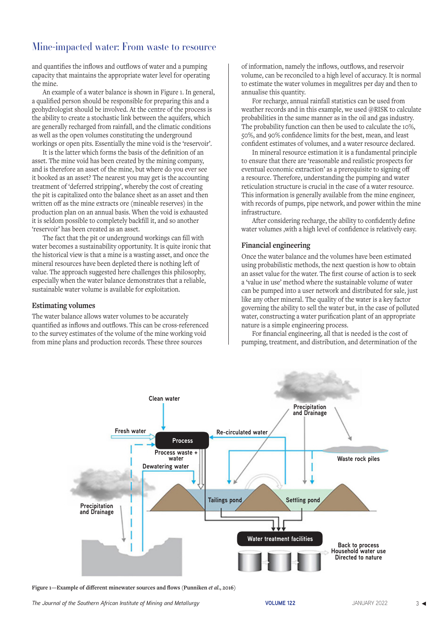# Mine-impacted water: From waste to resource

and quantifies the inflows and outflows of water and a pumping capacity that maintains the appropriate water level for operating the mine.

An example of a water balance is shown in Figure 1. In general, a qualified person should be responsible for preparing this and a geohydrologist should be involved. At the centre of the process is the ability to create a stochastic link between the aquifers, which are generally recharged from rainfall, and the climatic conditions as well as the open volumes constituting the underground workings or open pits. Essentially the mine void is the 'reservoir'.

It is the latter which forms the basis of the definition of an asset. The mine void has been created by the mining company, and is therefore an asset of the mine, but where do you ever see it booked as an asset? The nearest you may get is the accounting treatment of 'deferred stripping', whereby the cost of creating the pit is capitalized onto the balance sheet as an asset and then written off as the mine extracts ore (mineable reserves) in the production plan on an annual basis. When the void is exhausted it is seldom possible to completely backfill it, and so another 'reservoir' has been created as an asset.

The fact that the pit or underground workings can fill with water becomes a sustainability opportunity. It is quite ironic that the historical view is that a mine is a wasting asset, and once the mineral resources have been depleted there is nothing left of value. The approach suggested here challenges this philosophy, especially when the water balance demonstrates that a reliable, sustainable water volume is available for exploitation.

# **Estimating volumes**

The water balance allows water volumes to be accurately quantified as inflows and outflows. This can be cross-referenced to the survey estimates of the volume of the mine working void from mine plans and production records. These three sources

of information, namely the inflows, outflows, and reservoir volume, can be reconciled to a high level of accuracy. It is normal to estimate the water volumes in megalitres per day and then to annualise this quantity.

For recharge, annual rainfall statistics can be used from weather records and in this example, we used @RISK to calculate probabilities in the same manner as in the oil and gas industry. The probability function can then be used to calculate the 10%, 50%, and 90% confidence limits for the best, mean, and least confident estimates of volumes, and a water resource declared.

In mineral resource estimation it is a fundamental principle to ensure that there are 'reasonable and realistic prospects for eventual economic extraction' as a prerequisite to signing off a resource. Therefore, understanding the pumping and water reticulation structure is crucial in the case of a water resource. This information is generally available from the mine engineer, with records of pumps, pipe network, and power within the mine infrastructure.

After considering recharge, the ability to confidently define water volumes ,with a high level of confidence is relatively easy.

# **Financial engineering**

Once the water balance and the volumes have been estimated using probabilistic methods, the next question is how to obtain an asset value for the water. The first course of action is to seek a 'value in use' method where the sustainable volume of water can be pumped into a user network and distributed for sale, just like any other mineral. The quality of the water is a key factor governing the ability to sell the water but, in the case of polluted water, constructing a water purification plant of an appropriate nature is a simple engineering process.

For financial engineering, all that is needed is the cost of pumping, treatment, and distribution, and determination of the



Figure 1—Example of different minewater sources and flows (Punniken *et al.*, 2016)